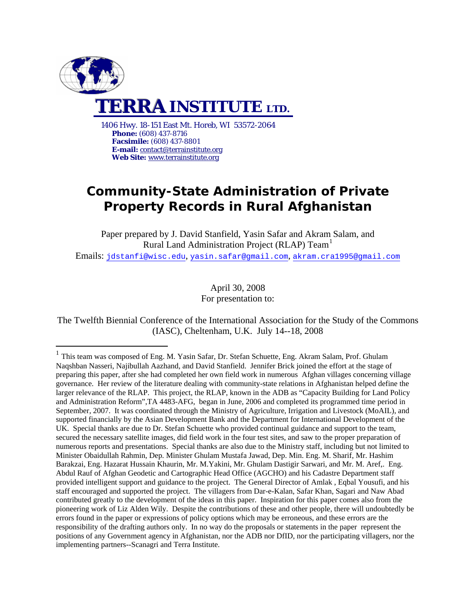

1

**Phone:** (608) 437-8716 **Facsimile:** (608) 437-8801 **E-mail:** [contact@terrainstitute.org](mailto:TerraInstituteUSA@att.net)  **Web Site:** [www.terrainstitute.org](http://www.terrainstitute.org/)

# **Community-State Administration of Private Property Records in Rural Afghanistan**

Paper prepared by J. David Stanfield, Yasin Safar and Akram Salam, and Rural Land Administration Project (RLAP) Team<sup>[1](#page-0-0)</sup> Emails: [jdstanfi@wisc.edu](mailto:jdstanfi@wisc.edu), [yasin.safar@gmail.com](mailto:yasin.safar@gmail.com), [akram.cra1995@gmail.com](mailto:akram.cra1995@gmail.com)

> April 30, 2008 For presentation to:

The Twelfth Biennial Conference of the International Association for the Study of the Commons (IASC), Cheltenham, U.K. July 14--18, 2008

<span id="page-0-0"></span><sup>1</sup> This team was composed of Eng. M. Yasin Safar, Dr. Stefan Schuette, Eng. Akram Salam, Prof. Ghulam Naqshban Nasseri, Najibullah Aazhand, and David Stanfield. Jennifer Brick joined the effort at the stage of preparing this paper, after she had completed her own field work in numerous Afghan villages concerning village governance. Her review of the literature dealing with community-state relations in Afghanistan helped define the larger relevance of the RLAP. This project, the RLAP, known in the ADB as "Capacity Building for Land Policy and Administration Reform",TA 4483-AFG, began in June, 2006 and completed its programmed time period in September, 2007. It was coordinated through the Ministry of Agriculture, Irrigation and Livestock (MoAIL), and supported financially by the Asian Development Bank and the Department for International Development of the UK. Special thanks are due to Dr. Stefan Schuette who provided continual guidance and support to the team, secured the necessary satellite images, did field work in the four test sites, and saw to the proper preparation of numerous reports and presentations. Special thanks are also due to the Ministry staff, including but not limited to Minister Obaidullah Rahmin, Dep. Minister Ghulam Mustafa Jawad, Dep. Min. Eng. M. Sharif, Mr. Hashim Barakzai, Eng. Hazarat Hussain Khaurin, Mr. M.Yakini, Mr. Ghulam Dastigir Sarwari, and Mr. M. Aref,. Eng. Abdul Rauf of Afghan Geodetic and Cartographic Head Office (AGCHO) and his Cadastre Department staff provided intelligent support and guidance to the project. The General Director of Amlak , Eqbal Yousufi, and his staff encouraged and supported the project. The villagers from Dar-e-Kalan, Safar Khan, Sagari and Naw Abad contributed greatly to the development of the ideas in this paper. Inspiration for this paper comes also from the pioneering work of Liz Alden Wily. Despite the contributions of these and other people, there will undoubtedly be errors found in the paper or expressions of policy options which may be erroneous, and these errors are the responsibility of the drafting authors only. In no way do the proposals or statements in the paper represent the positions of any Government agency in Afghanistan, nor the ADB nor DfID, nor the participating villagers, nor the implementing partners--Scanagri and Terra Institute.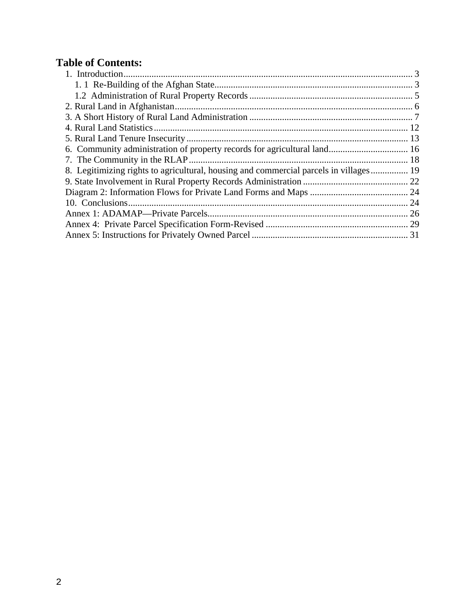# **Table of Contents:**

| 8. Legitimizing rights to agricultural, housing and commercial parcels in villages 19 |  |
|---------------------------------------------------------------------------------------|--|
|                                                                                       |  |
|                                                                                       |  |
|                                                                                       |  |
|                                                                                       |  |
|                                                                                       |  |
|                                                                                       |  |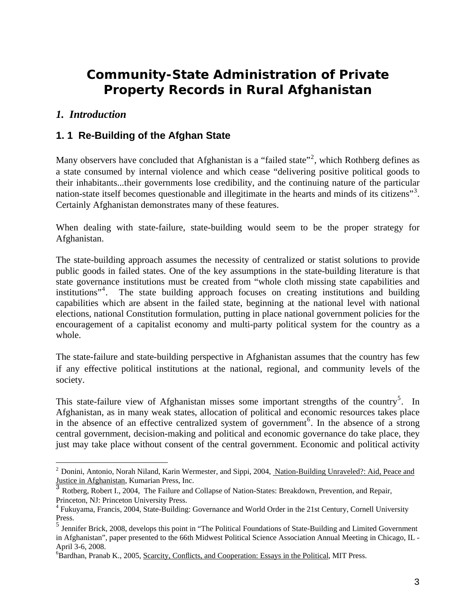# <span id="page-2-0"></span>**Community-State Administration of Private Property Records in Rural Afghanistan**

### *1. Introduction*

 $\overline{a}$ 

### **1. 1 Re-Building of the Afghan State**

Many observers have concluded that Afghanistan is a "failed state"<sup>[2](#page-2-0)</sup>, which Rothberg defines as a state consumed by internal violence and which cease "delivering positive political goods to their inhabitants...their governments lose credibility, and the continuing nature of the particular nation-state itself becomes questionable and illegitimate in the hearts and minds of its citizens"<sup>[3](#page-2-0)</sup>. Certainly Afghanistan demonstrates many of these features.

When dealing with state-failure, state-building would seem to be the proper strategy for Afghanistan.

The state-building approach assumes the necessity of centralized or statist solutions to provide public goods in failed states. One of the key assumptions in the state-building literature is that state governance institutions must be created from "whole cloth missing state capabilities and institutions"[4](#page-2-0) . The state building approach focuses on creating institutions and building capabilities which are absent in the failed state, beginning at the national level with national elections, national Constitution formulation, putting in place national government policies for the encouragement of a capitalist economy and multi-party political system for the country as a whole.

The state-failure and state-building perspective in Afghanistan assumes that the country has few if any effective political institutions at the national, regional, and community levels of the society.

This state-failure view of Afghanistan misses some important strengths of the country<sup>[5](#page-2-0)</sup>. In Afghanistan, as in many weak states, allocation of political and economic resources takes place in the absence of an effective centralized system of government<sup>[6](#page-2-0)</sup>. In the absence of a strong central government, decision-making and political and economic governance do take place, they just may take place without consent of the central government. Economic and political activity

<sup>&</sup>lt;sup>2</sup> Donini, Antonio, Norah Niland, Karin Wermester, and Sippi, 2004, Nation-Building Unraveled?: Aid, Peace and Justice in Afghanistan, Kumarian Press, Inc.

<sup>&</sup>lt;sup>3</sup> Rotberg, Robert I., 2004, The Failure and Collapse of Nation-States: Breakdown, Prevention, and Repair, Princeton, NJ: Princeton University Press.

<sup>&</sup>lt;sup>4</sup> Fukuyama, Francis, 2004, State-Building: Governance and World Order in the 21st Century, Cornell University Press.

<sup>5</sup> Jennifer Brick, 2008, develops this point in "The Political Foundations of State-Building and Limited Government in Afghanistan", paper presented to the 66th Midwest Political Science Association Annual Meeting in Chicago, IL - April 3-6, 2008.

<sup>&</sup>lt;sup>6</sup>Bardhan, Pranab K., 2005, Scarcity, Conflicts, and Cooperation: Essays in the Political, MIT Press.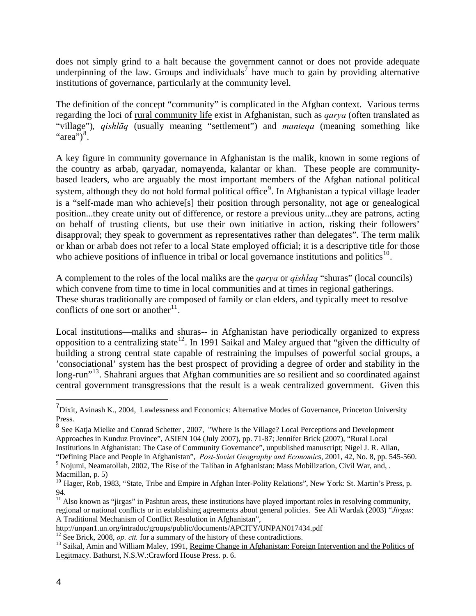<span id="page-3-0"></span>does not simply grind to a halt because the government cannot or does not provide adequate underpinning of the law. Groups and individuals<sup>[7](#page-3-0)</sup> have much to gain by providing alternative institutions of governance, particularly at the community level.

The definition of the concept "community" is complicated in the Afghan context. Various terms regarding the loci of rural community life exist in Afghanistan, such as *qarya* (often translated as "village")*, qishlāq* (usually meaning "settlement") and *manteqa* (meaning something like "area") $8$ .

A key figure in community governance in Afghanistan is the malik, known in some regions of the country as arbab, qaryadar, nomayenda, kalantar or khan. These people are communitybased leaders, who are arguably the most important members of the Afghan national political system, although they do not hold formal political office<sup>[9](#page-3-0)</sup>. In Afghanistan a typical village leader is a "self-made man who achieve[s] their position through personality, not age or genealogical position...they create unity out of difference, or restore a previous unity...they are patrons, acting on behalf of trusting clients, but use their own initiative in action, risking their followers' disapproval; they speak to government as representatives rather than delegates". The term malik or khan or arbab does not refer to a local State employed official; it is a descriptive title for those who achieve positions of influence in tribal or local governance institutions and politics $10$ .

A complement to the roles of the local maliks are the *qarya* or *qishlaq* "shuras" (local councils) which convene from time to time in local communities and at times in regional gatherings. These shuras traditionally are composed of family or clan elders, and typically meet to resolve conflicts of one sort or another<sup>[11](#page-3-0)</sup>.

Local institutions—maliks and shuras-- in Afghanistan have periodically organized to express opposition to a centralizing state<sup>[12](#page-3-0)</sup>. In 1991 Saikal and Maley argued that "given the difficulty of building a strong central state capable of restraining the impulses of powerful social groups, a 'consociational' system has the best prospect of providing a degree of order and stability in the long-run<sup>"[13](#page-3-0)</sup>. Shahrani argues that Afghan communities are so resilient and so coordinated against central government transgressions that the result is a weak centralized government. Given this

 $\overline{a}$ 

<sup>&</sup>lt;sup>7</sup> Dixit, Avinash K., 2004, Lawlessness and Economics: Alternative Modes of Governance, Princeton University Press.

<sup>8</sup> See Katja Mielke and Conrad Schetter , 2007, "Where Is the Village? Local Perceptions and Development Approaches in Kunduz Province", ASIEN 104 (July 2007), pp. 71-87; Jennifer Brick (2007), "Rural Local Institutions in Afghanistan: The Case of Community Governance", unpublished manuscript; Nigel J. R. Allan, "Defining Place and People in Afghanistan", *Post-Soviet Geography and Economic*s, 2001, 42, No. 8, pp. 545-560. 9

<sup>&</sup>lt;sup>9</sup> Nojumi, Neamatollah, 2002, The Rise of the Taliban in Afghanistan: Mass Mobilization, Civil War, and, . Macmillan, p. 5)

<sup>&</sup>lt;sup>10</sup> Hager, Rob, 1983, "State, Tribe and Empire in Afghan Inter-Polity Relations", New York: St. Martin's Press, p. 94.

 $11$  Also known as "jirgas" in Pashtun areas, these institutions have played important roles in resolving community, regional or national conflicts or in establishing agreements about general policies. See Ali Wardak (2003) "*Jirgas*: A Traditional Mechanism of Conflict Resolution in Afghanistan",

http://unpan1.un.org/intradoc/groups/public/documents/APCITY/UNPAN017434.pdf<br><sup>12</sup> See Brick, 2008, *op. cit.* for a summary of the history of these contradictions.<br><sup>13</sup> Saikal, Amin and William Maley, 1991, Regime Change i Legitmacy. Bathurst, N.S.W.:Crawford House Press. p. 6.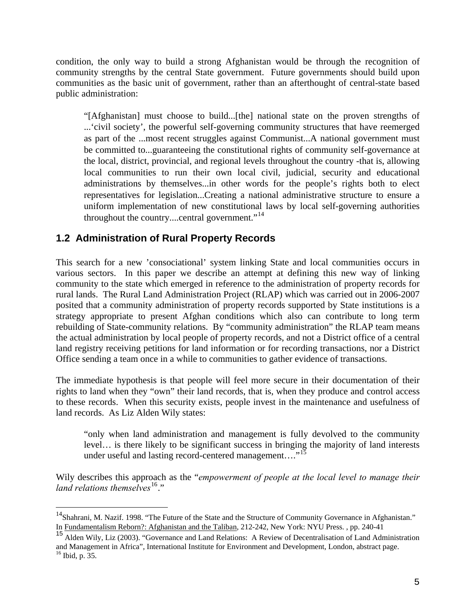<span id="page-4-0"></span>condition, the only way to build a strong Afghanistan would be through the recognition of community strengths by the central State government. Future governments should build upon communities as the basic unit of government, rather than an afterthought of central-state based public administration:

"[Afghanistan] must choose to build...[the] national state on the proven strengths of ...'civil society', the powerful self-governing community structures that have reemerged as part of the ...most recent struggles against Communist...A national government must be committed to...guaranteeing the constitutional rights of community self-governance at the local, district, provincial, and regional levels throughout the country -that is, allowing local communities to run their own local civil, judicial, security and educational administrations by themselves...in other words for the people's rights both to elect representatives for legislation...Creating a national administrative structure to ensure a uniform implementation of new constitutional laws by local self-governing authorities throughout the country....central government."<sup>[14](#page-4-0)</sup>

## **1.2 Administration of Rural Property Records**

1

This search for a new 'consociational' system linking State and local communities occurs in various sectors. In this paper we describe an attempt at defining this new way of linking community to the state which emerged in reference to the administration of property records for rural lands. The Rural Land Administration Project (RLAP) which was carried out in 2006-2007 posited that a community administration of property records supported by State institutions is a strategy appropriate to present Afghan conditions which also can contribute to long term rebuilding of State-community relations. By "community administration" the RLAP team means the actual administration by local people of property records, and not a District office of a central land registry receiving petitions for land information or for recording transactions, nor a District Office sending a team once in a while to communities to gather evidence of transactions.

The immediate hypothesis is that people will feel more secure in their documentation of their rights to land when they "own" their land records, that is, when they produce and control access to these records. When this security exists, people invest in the maintenance and usefulness of land records. As Liz Alden Wily states:

"only when land administration and management is fully devolved to the community level… is there likely to be significant success in bringing the majority of land interests under useful and lasting record-centered management...."<sup>[15](#page-4-0)</sup>

Wily describes this approach as the "*empowerment of people at the local level to manage their land relations themselves*<sup>[16](#page-4-0)</sup>."

<sup>&</sup>lt;sup>14</sup>Shahrani, M. Nazif. 1998. "The Future of the State and the Structure of Community Governance in Afghanistan." In Fundamentalism Reborn?: Afghanistan and the Taliban, 212-242, New York: NYU Press. , pp. 240-41

<sup>15</sup> Alden Wily, Liz (2003). "Governance and Land Relations: A Review of Decentralisation of Land Administration and Management in Africa", International Institute for Environment and Development, London, abstract page. <sup>16</sup> Ibid, p. 35.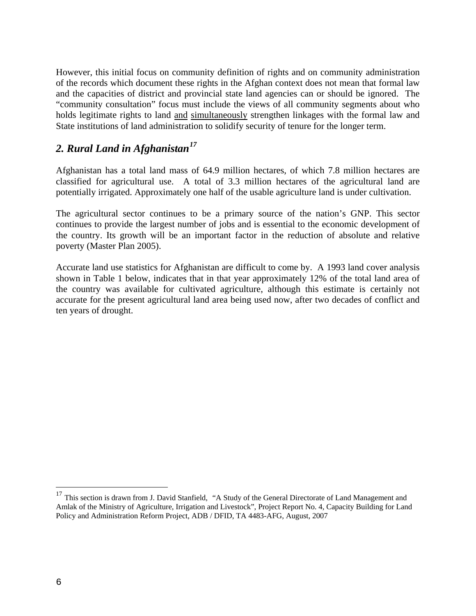<span id="page-5-0"></span>However, this initial focus on community definition of rights and on community administration of the records which document these rights in the Afghan context does not mean that formal law and the capacities of district and provincial state land agencies can or should be ignored. The "community consultation" focus must include the views of all community segments about who holds legitimate rights to land and simultaneously strengthen linkages with the formal law and State institutions of land administration to solidify security of tenure for the longer term.

## *2. Rural Land in Afghanistan[17](#page-5-0)*

Afghanistan has a total land mass of 64.9 million hectares, of which 7.8 million hectares are classified for agricultural use. A total of 3.3 million hectares of the agricultural land are potentially irrigated. Approximately one half of the usable agriculture land is under cultivation.

The agricultural sector continues to be a primary source of the nation's GNP. This sector continues to provide the largest number of jobs and is essential to the economic development of the country. Its growth will be an important factor in the reduction of absolute and relative poverty (Master Plan 2005).

Accurate land use statistics for Afghanistan are difficult to come by. A 1993 land cover analysis shown in Table 1 below, indicates that in that year approximately 12% of the total land area of the country was available for cultivated agriculture, although this estimate is certainly not accurate for the present agricultural land area being used now, after two decades of conflict and ten years of drought.

 $\overline{a}$ 

<sup>&</sup>lt;sup>17</sup> This section is drawn from J. David Stanfield, "A Study of the General Directorate of Land Management and Amlak of the Ministry of Agriculture, Irrigation and Livestock", Project Report No. 4, Capacity Building for Land Policy and Administration Reform Project, ADB / DFID, TA 4483-AFG, August, 2007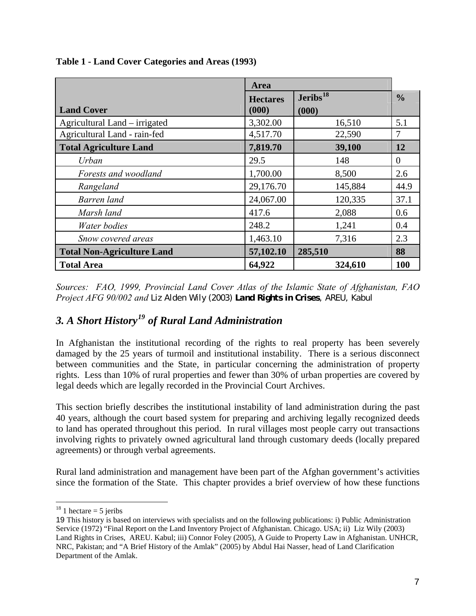|                                   | Area                     |                               |                |
|-----------------------------------|--------------------------|-------------------------------|----------------|
| <b>Land Cover</b>                 | <b>Hectares</b><br>(000) | Jeribs <sup>18</sup><br>(000) | $\frac{0}{0}$  |
| Agricultural Land – irrigated     | 3,302.00                 | 16,510                        | 5.1            |
| Agricultural Land - rain-fed      | 4,517.70                 | 22,590                        | 7              |
| <b>Total Agriculture Land</b>     | 7,819.70                 | 39,100                        | 12             |
| Urban                             | 29.5                     | 148                           | $\overline{0}$ |
| Forests and woodland              | 1,700.00                 | 8,500                         | 2.6            |
| Rangeland                         | 29,176.70                | 145,884                       | 44.9           |
| Barren land                       | 24,067.00                | 120,335                       | 37.1           |
| Marsh land                        | 417.6                    | 2,088                         | 0.6            |
| Water bodies                      | 248.2                    | 1,241                         | 0.4            |
| Snow covered areas                | 1,463.10                 | 7,316                         | 2.3            |
| <b>Total Non-Agriculture Land</b> | 57,102.10                | 285,510                       | 88             |
| <b>Total Area</b>                 | 64,922                   | 324,610                       | <b>100</b>     |

<span id="page-6-0"></span>**Table 1 - Land Cover Categories and Areas (1993)** 

*Sources: FAO, 1999, Provincial Land Cover Atlas of the Islamic State of Afghanistan, FAO Project AFG 90/002 and Liz Alden Wily (2003) Land Rights in Crises, AREU, Kabul*

# *3. A Short History[19](#page-6-0) of Rural Land Administration*

In Afghanistan the institutional recording of the rights to real property has been severely damaged by the 25 years of turmoil and institutional instability. There is a serious disconnect between communities and the State, in particular concerning the administration of property rights. Less than 10% of rural properties and fewer than 30% of urban properties are covered by legal deeds which are legally recorded in the Provincial Court Archives.

This section briefly describes the institutional instability of land administration during the past 40 years, although the court based system for preparing and archiving legally recognized deeds to land has operated throughout this period. In rural villages most people carry out transactions involving rights to privately owned agricultural land through customary deeds (locally prepared agreements) or through verbal agreements.

Rural land administration and management have been part of the Afghan government's activities since the formation of the State. This chapter provides a brief overview of how these functions

<sup>1</sup> <sup>18</sup> 1 hectare = 5 jeribs

<sup>19</sup> This history is based on interviews with specialists and on the following publications: i) Public Administration Service (1972) "Final Report on the Land Inventory Project of Afghanistan. Chicago. USA; ii) Liz Wily (2003) Land Rights in Crises, AREU. Kabul; iii) Connor Foley (2005), A Guide to Property Law in Afghanistan. UNHCR, NRC, Pakistan; and "A Brief History of the Amlak" (2005) by Abdul Hai Nasser, head of Land Clarification Department of the Amlak.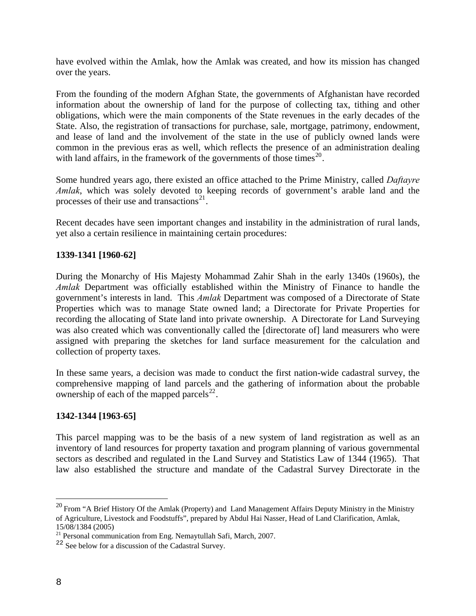<span id="page-7-0"></span>have evolved within the Amlak, how the Amlak was created, and how its mission has changed over the years.

From the founding of the modern Afghan State, the governments of Afghanistan have recorded information about the ownership of land for the purpose of collecting tax, tithing and other obligations, which were the main components of the State revenues in the early decades of the State. Also, the registration of transactions for purchase, sale, mortgage, patrimony, endowment, and lease of land and the involvement of the state in the use of publicly owned lands were common in the previous eras as well, which reflects the presence of an administration dealing with land affairs, in the framework of the governments of those times<sup>[20](#page-7-0)</sup>.

Some hundred years ago, there existed an office attached to the Prime Ministry, called *Daftayre Amlak*, which was solely devoted to keeping records of government's arable land and the processes of their use and transactions $^{21}$  $^{21}$  $^{21}$ .

Recent decades have seen important changes and instability in the administration of rural lands, yet also a certain resilience in maintaining certain procedures:

### **1339-1341 [1960-62]**

During the Monarchy of His Majesty Mohammad Zahir Shah in the early 1340s (1960s), the *Amlak* Department was officially established within the Ministry of Finance to handle the government's interests in land. This *Amlak* Department was composed of a Directorate of State Properties which was to manage State owned land; a Directorate for Private Properties for recording the allocating of State land into private ownership. A Directorate for Land Surveying was also created which was conventionally called the [directorate of] land measurers who were assigned with preparing the sketches for land surface measurement for the calculation and collection of property taxes.

In these same years, a decision was made to conduct the first nation-wide cadastral survey, the comprehensive mapping of land parcels and the gathering of information about the probable ownership of each of the mapped parcels $^{22}$  $^{22}$  $^{22}$ .

#### **1342-1344 [1963-65]**

This parcel mapping was to be the basis of a new system of land registration as well as an inventory of land resources for property taxation and program planning of various governmental sectors as described and regulated in the Land Survey and Statistics Law of 1344 (1965). That law also established the structure and mandate of the Cadastral Survey Directorate in the

<u>.</u>

<sup>&</sup>lt;sup>20</sup> From "A Brief History Of the Amlak (Property) and Land Management Affairs Deputy Ministry in the Ministry of Agriculture, Livestock and Foodstuffs", prepared by Abdul Hai Nasser, Head of Land Clarification, Amlak, 15/08/1384 (2005)

 $^{21}$  Personal communication from Eng. Nemaytullah Safi, March, 2007.

<sup>&</sup>lt;sup>22</sup> See below for a discussion of the Cadastral Survey.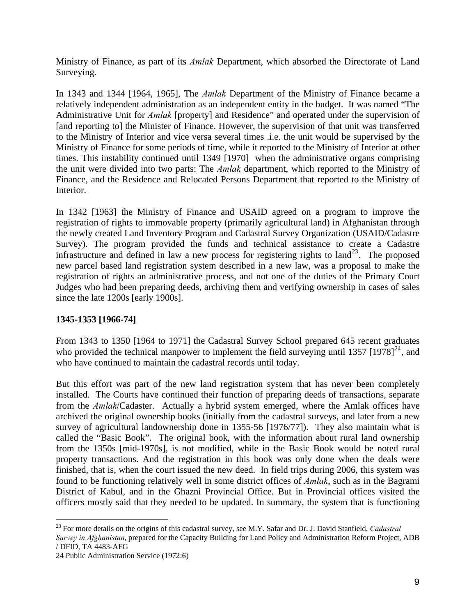<span id="page-8-0"></span>Ministry of Finance, as part of its *Amlak* Department, which absorbed the Directorate of Land Surveying.

In 1343 and 1344 [1964, 1965], The *Amlak* Department of the Ministry of Finance became a relatively independent administration as an independent entity in the budget. It was named "The Administrative Unit for *Amlak* [property] and Residence" and operated under the supervision of [and reporting to] the Minister of Finance. However, the supervision of that unit was transferred to the Ministry of Interior and vice versa several times .i.e. the unit would be supervised by the Ministry of Finance for some periods of time, while it reported to the Ministry of Interior at other times. This instability continued until 1349 [1970] when the administrative organs comprising the unit were divided into two parts: The *Amlak* department, which reported to the Ministry of Finance, and the Residence and Relocated Persons Department that reported to the Ministry of Interior.

In 1342 [1963] the Ministry of Finance and USAID agreed on a program to improve the registration of rights to immovable property (primarily agricultural land) in Afghanistan through the newly created Land Inventory Program and Cadastral Survey Organization (USAID/Cadastre Survey). The program provided the funds and technical assistance to create a Cadastre infrastructure and defined in law a new process for registering rights to land<sup>[23](#page-8-0)</sup>. The proposed new parcel based land registration system described in a new law, was a proposal to make the registration of rights an administrative process, and not one of the duties of the Primary Court Judges who had been preparing deeds, archiving them and verifying ownership in cases of sales since the late 1200s [early 1900s].

### **1345-1353 [1966-74]**

From 1343 to 1350 [1964 to 1971] the Cadastral Survey School prepared 645 recent graduates who provided the technical manpower to implement the field surveying until 1357  $[1978]^{24}$  $[1978]^{24}$  $[1978]^{24}$ , and who have continued to maintain the cadastral records until today.

But this effort was part of the new land registration system that has never been completely installed. The Courts have continued their function of preparing deeds of transactions, separate from the *Amlak*/Cadaster. Actually a hybrid system emerged, where the Amlak offices have archived the original ownership books (initially from the cadastral surveys, and later from a new survey of agricultural landownership done in 1355-56 [1976/77]). They also maintain what is called the "Basic Book". The original book, with the information about rural land ownership from the 1350s [mid-1970s], is not modified, while in the Basic Book would be noted rural property transactions. And the registration in this book was only done when the deals were finished, that is, when the court issued the new deed. In field trips during 2006, this system was found to be functioning relatively well in some district offices of *Amlak*, such as in the Bagrami District of Kabul, and in the Ghazni Provincial Office. But in Provincial offices visited the officers mostly said that they needed to be updated. In summary, the system that is functioning

<u>.</u>

<sup>23</sup> For more details on the origins of this cadastral survey, see M.Y. Safar and Dr. J. David Stanfield, *Cadastral Survey in Afghanistan*, prepared for the Capacity Building for Land Policy and Administration Reform Project, ADB

<sup>/</sup> DFID, TA 4483-AFG

<sup>24</sup> Public Administration Service (1972:6)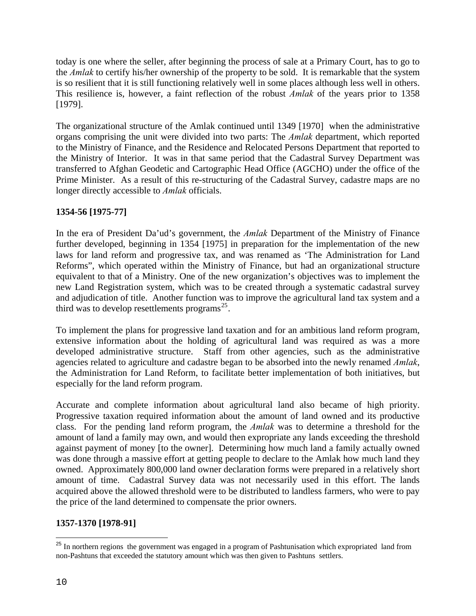<span id="page-9-0"></span>today is one where the seller, after beginning the process of sale at a Primary Court, has to go to the *Amlak* to certify his/her ownership of the property to be sold. It is remarkable that the system is so resilient that it is still functioning relatively well in some places although less well in others. This resilience is, however, a faint reflection of the robust *Amlak* of the years prior to 1358 [1979].

The organizational structure of the Amlak continued until 1349 [1970] when the administrative organs comprising the unit were divided into two parts: The *Amlak* department, which reported to the Ministry of Finance, and the Residence and Relocated Persons Department that reported to the Ministry of Interior. It was in that same period that the Cadastral Survey Department was transferred to Afghan Geodetic and Cartographic Head Office (AGCHO) under the office of the Prime Minister. As a result of this re-structuring of the Cadastral Survey, cadastre maps are no longer directly accessible to *Amlak* officials.

### **1354-56 [1975-77]**

In the era of President Da'ud's government, the *Amlak* Department of the Ministry of Finance further developed, beginning in 1354 [1975] in preparation for the implementation of the new laws for land reform and progressive tax, and was renamed as 'The Administration for Land Reforms", which operated within the Ministry of Finance, but had an organizational structure equivalent to that of a Ministry. One of the new organization's objectives was to implement the new Land Registration system, which was to be created through a systematic cadastral survey and adjudication of title. Another function was to improve the agricultural land tax system and a third was to develop resettlements programs<sup>[25](#page-9-0)</sup>.

To implement the plans for progressive land taxation and for an ambitious land reform program, extensive information about the holding of agricultural land was required as was a more developed administrative structure. Staff from other agencies, such as the administrative agencies related to agriculture and cadastre began to be absorbed into the newly renamed *Amlak*, the Administration for Land Reform, to facilitate better implementation of both initiatives, but especially for the land reform program.

Accurate and complete information about agricultural land also became of high priority. Progressive taxation required information about the amount of land owned and its productive class. For the pending land reform program, the *Amlak* was to determine a threshold for the amount of land a family may own, and would then expropriate any lands exceeding the threshold against payment of money [to the owner]. Determining how much land a family actually owned was done through a massive effort at getting people to declare to the Amlak how much land they owned. Approximately 800,000 land owner declaration forms were prepared in a relatively short amount of time. Cadastral Survey data was not necessarily used in this effort. The lands acquired above the allowed threshold were to be distributed to landless farmers, who were to pay the price of the land determined to compensate the prior owners.

### **1357-1370 [1978-91]**

 $\overline{a}$ 

<sup>&</sup>lt;sup>25</sup> In northern regions the government was engaged in a program of Pashtunisation which expropriated land from non-Pashtuns that exceeded the statutory amount which was then given to Pashtuns settlers.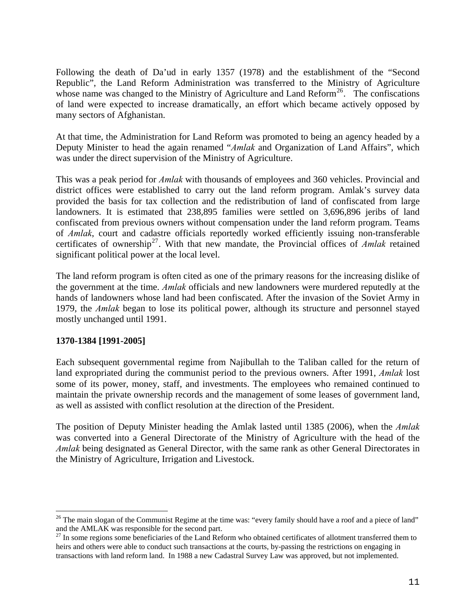<span id="page-10-0"></span>Following the death of Da'ud in early 1357 (1978) and the establishment of the "Second Republic", the Land Reform Administration was transferred to the Ministry of Agriculture whose name was changed to the Ministry of Agriculture and Land Reform<sup>[26](#page-10-0)</sup>. The confiscations of land were expected to increase dramatically, an effort which became actively opposed by many sectors of Afghanistan.

At that time, the Administration for Land Reform was promoted to being an agency headed by a Deputy Minister to head the again renamed "*Amlak* and Organization of Land Affairs", which was under the direct supervision of the Ministry of Agriculture.

This was a peak period for *Amlak* with thousands of employees and 360 vehicles. Provincial and district offices were established to carry out the land reform program. Amlak's survey data provided the basis for tax collection and the redistribution of land of confiscated from large landowners. It is estimated that 238,895 families were settled on 3,696,896 jeribs of land confiscated from previous owners without compensation under the land reform program. Teams of *Amlak*, court and cadastre officials reportedly worked efficiently issuing non-transferable certificates of ownership<sup>[27](#page-10-0)</sup>. With that new mandate, the Provincial offices of *Amlak* retained significant political power at the local level.

The land reform program is often cited as one of the primary reasons for the increasing dislike of the government at the time. *Amlak* officials and new landowners were murdered reputedly at the hands of landowners whose land had been confiscated. After the invasion of the Soviet Army in 1979, the *Amlak* began to lose its political power, although its structure and personnel stayed mostly unchanged until 1991.

### **1370-1384 [1991-2005]**

1

Each subsequent governmental regime from Najibullah to the Taliban called for the return of land expropriated during the communist period to the previous owners. After 1991, *Amlak* lost some of its power, money, staff, and investments. The employees who remained continued to maintain the private ownership records and the management of some leases of government land, as well as assisted with conflict resolution at the direction of the President.

The position of Deputy Minister heading the Amlak lasted until 1385 (2006), when the *Amlak* was converted into a General Directorate of the Ministry of Agriculture with the head of the *Amlak* being designated as General Director, with the same rank as other General Directorates in the Ministry of Agriculture, Irrigation and Livestock.

 $26$  The main slogan of the Communist Regime at the time was: "every family should have a roof and a piece of land" and the AMLAK was responsible for the second part.

 $^{27}$  In some regions some beneficiaries of the Land Reform who obtained certificates of allotment transferred them to heirs and others were able to conduct such transactions at the courts, by-passing the restrictions on engaging in transactions with land reform land. In 1988 a new Cadastral Survey Law was approved, but not implemented.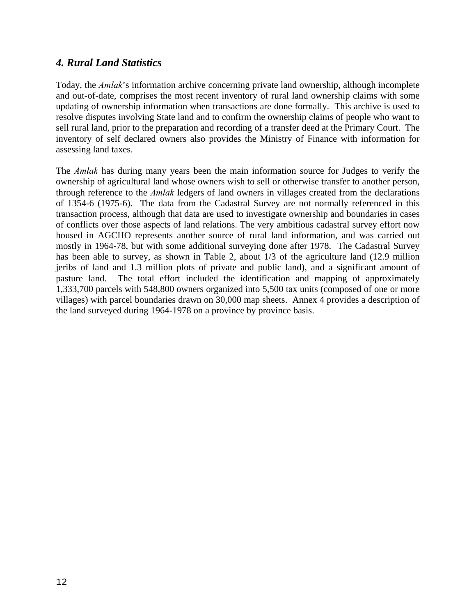### <span id="page-11-0"></span>*4. Rural Land Statistics*

Today, the *Amlak*'s information archive concerning private land ownership, although incomplete and out-of-date, comprises the most recent inventory of rural land ownership claims with some updating of ownership information when transactions are done formally. This archive is used to resolve disputes involving State land and to confirm the ownership claims of people who want to sell rural land, prior to the preparation and recording of a transfer deed at the Primary Court. The inventory of self declared owners also provides the Ministry of Finance with information for assessing land taxes.

The *Amlak* has during many years been the main information source for Judges to verify the ownership of agricultural land whose owners wish to sell or otherwise transfer to another person, through reference to the *Amlak* ledgers of land owners in villages created from the declarations of 1354-6 (1975-6). The data from the Cadastral Survey are not normally referenced in this transaction process, although that data are used to investigate ownership and boundaries in cases of conflicts over those aspects of land relations. The very ambitious cadastral survey effort now housed in AGCHO represents another source of rural land information, and was carried out mostly in 1964-78, but with some additional surveying done after 1978. The Cadastral Survey has been able to survey, as shown in Table 2, about 1/3 of the agriculture land (12.9 million jeribs of land and 1.3 million plots of private and public land), and a significant amount of pasture land. The total effort included the identification and mapping of approximately 1,333,700 parcels with 548,800 owners organized into 5,500 tax units (composed of one or more villages) with parcel boundaries drawn on 30,000 map sheets. Annex 4 provides a description of the land surveyed during 1964-1978 on a province by province basis.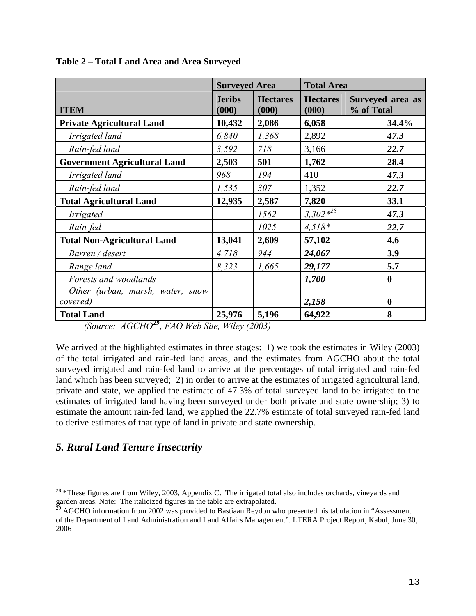|                                     | <b>Surveyed Area</b>   |                          | <b>Total Area</b>        |                                |
|-------------------------------------|------------------------|--------------------------|--------------------------|--------------------------------|
| <b>ITEM</b>                         | <b>Jeribs</b><br>(000) | <b>Hectares</b><br>(000) | <b>Hectares</b><br>(000) | Surveyed area as<br>% of Total |
| <b>Private Agricultural Land</b>    | 10,432                 | 2,086                    | 6,058                    | 34.4%                          |
| Irrigated land                      | 6,840                  | 1,368                    | 2,892                    | 47.3                           |
| Rain-fed land                       | 3,592                  | 718                      | 3,166                    | 22.7                           |
| <b>Government Agricultural Land</b> | 2,503                  | 501                      | 1,762                    | 28.4                           |
| Irrigated land                      | 968                    | 194                      | 410                      | 47.3                           |
| Rain-fed land                       | 1,535                  | 307                      | 1,352                    | 22.7                           |
| <b>Total Agricultural Land</b>      | 12,935                 | 2,587                    | 7,820                    | 33.1                           |
| <i>Irrigated</i>                    |                        | 1562                     | $3,302*^{28}$            | 47.3                           |
| Rain-fed                            |                        | 1025                     | $4,518*$                 | 22.7                           |
| <b>Total Non-Agricultural Land</b>  | 13,041                 | 2,609                    | 57,102                   | 4.6                            |
| Barren / desert                     | 4,718                  | 944                      | 24,067                   | 3.9                            |
| Range land                          | 8,323                  | 1,665                    | 29,177                   | 5.7                            |
| Forests and woodlands               |                        |                          | 1,700                    | $\boldsymbol{0}$               |
| Other (urban, marsh, water, snow    |                        |                          |                          |                                |
| covered)                            |                        |                          | 2,158                    | $\mathbf{0}$                   |
| <b>Total Land</b>                   | 25,976                 | 5,196                    | 64,922                   | 8                              |

<span id="page-12-0"></span>**Table 2 – Total Land Area and Area Surveyed**

*(Source: AGCHO[29](#page-12-0), FAO Web Site, Wiley (2003)* 

We arrived at the highlighted estimates in three stages: 1) we took the estimates in Wiley (2003) of the total irrigated and rain-fed land areas, and the estimates from AGCHO about the total surveyed irrigated and rain-fed land to arrive at the percentages of total irrigated and rain-fed land which has been surveyed; 2) in order to arrive at the estimates of irrigated agricultural land, private and state, we applied the estimate of 47.3% of total surveyed land to be irrigated to the estimates of irrigated land having been surveyed under both private and state ownership; 3) to estimate the amount rain-fed land, we applied the 22.7% estimate of total surveyed rain-fed land to derive estimates of that type of land in private and state ownership.

### *5. Rural Land Tenure Insecurity*

 $\overline{a}$ 

 $28$  \*These figures are from Wiley, 2003, Appendix C. The irrigated total also includes orchards, vineyards and garden areas. Note: The italicized figures in the table are extrapolated*.* 

 $^{29}$  AGCHO information from 2002 was provided to Bastiaan Reydon who presented his tabulation in "Assessment of the Department of Land Administration and Land Affairs Management". LTERA Project Report, Kabul, June 30, 2006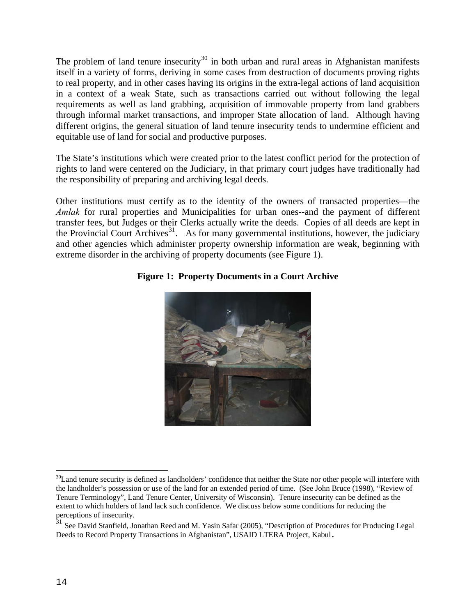<span id="page-13-0"></span>The problem of land tenure insecurity<sup>[30](#page-13-0)</sup> in both urban and rural areas in Afghanistan manifests itself in a variety of forms, deriving in some cases from destruction of documents proving rights to real property, and in other cases having its origins in the extra-legal actions of land acquisition in a context of a weak State, such as transactions carried out without following the legal requirements as well as land grabbing, acquisition of immovable property from land grabbers through informal market transactions, and improper State allocation of land. Although having different origins, the general situation of land tenure insecurity tends to undermine efficient and equitable use of land for social and productive purposes.

The State's institutions which were created prior to the latest conflict period for the protection of rights to land were centered on the Judiciary, in that primary court judges have traditionally had the responsibility of preparing and archiving legal deeds.

Other institutions must certify as to the identity of the owners of transacted properties—the *Amlak* for rural properties and Municipalities for urban ones--and the payment of different transfer fees, but Judges or their Clerks actually write the deeds. Copies of all deeds are kept in the Provincial Court Archives $31$ . As for many governmental institutions, however, the judiciary and other agencies which administer property ownership information are weak, beginning with extreme disorder in the archiving of property documents (see Figure 1).

### **Figure 1: Property Documents in a Court Archive**



 $\overline{a}$  $30$ Land tenure security is defined as landholders' confidence that neither the State nor other people will interfere with the landholder's possession or use of the land for an extended period of time. (See John Bruce (1998), "Review of Tenure Terminology", Land Tenure Center, University of Wisconsin). Tenure insecurity can be defined as the extent to which holders of land lack such confidence. We discuss below some conditions for reducing the perceptions of insecurity.

 $31$  See David Stanfield, Jonathan Reed and M. Yasin Safar (2005), "Description of Procedures for Producing Legal Deeds to Record Property Transactions in Afghanistan", USAID LTERA Project, Kabul**.**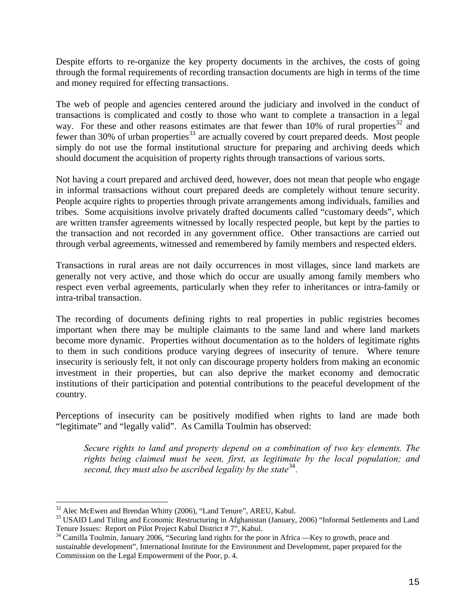<span id="page-14-0"></span>Despite efforts to re-organize the key property documents in the archives, the costs of going through the formal requirements of recording transaction documents are high in terms of the time and money required for effecting transactions.

The web of people and agencies centered around the judiciary and involved in the conduct of transactions is complicated and costly to those who want to complete a transaction in a legal way. For these and other reasons estimates are that fewer than 10% of rural properties<sup>[32](#page-14-0)</sup> and fewer than 30% of urban properties<sup>[33](#page-14-0)</sup> are actually covered by court prepared deeds. Most people simply do not use the formal institutional structure for preparing and archiving deeds which should document the acquisition of property rights through transactions of various sorts.

Not having a court prepared and archived deed, however, does not mean that people who engage in informal transactions without court prepared deeds are completely without tenure security. People acquire rights to properties through private arrangements among individuals, families and tribes. Some acquisitions involve privately drafted documents called "customary deeds", which are written transfer agreements witnessed by locally respected people, but kept by the parties to the transaction and not recorded in any government office. Other transactions are carried out through verbal agreements, witnessed and remembered by family members and respected elders.

Transactions in rural areas are not daily occurrences in most villages, since land markets are generally not very active, and those which do occur are usually among family members who respect even verbal agreements, particularly when they refer to inheritances or intra-family or intra-tribal transaction.

The recording of documents defining rights to real properties in public registries becomes important when there may be multiple claimants to the same land and where land markets become more dynamic. Properties without documentation as to the holders of legitimate rights to them in such conditions produce varying degrees of insecurity of tenure. Where tenure insecurity is seriously felt, it not only can discourage property holders from making an economic investment in their properties, but can also deprive the market economy and democratic institutions of their participation and potential contributions to the peaceful development of the country.

Perceptions of insecurity can be positively modified when rights to land are made both "legitimate" and "legally valid". As Camilla Toulmin has observed:

*Secure rights to land and property depend on a combination of two key elements. The rights being claimed must be seen, first, as legitimate by the local population; and second, they must also be ascribed legality by the state*<sup>[34](#page-14-0)</sup>.

<sup>&</sup>lt;sup>32</sup> Alec McEwen and Brendan Whitty (2006), "Land Tenure", AREU, Kabul.

<sup>&</sup>lt;sup>33</sup> USAID Land Titling and Economic Restructuring in Afghanistan (January, 2006) "Informal Settlements and Land Tenure Issues: Report on Pilot Project Kabul District # 7", Kabul.

<sup>&</sup>lt;sup>34</sup> Camilla Toulmin, January 2006, "Securing land rights for the poor in Africa —Key to growth, peace and sustainable development", International Institute for the Environment and Development, paper prepared for the Commission on the Legal Empowerment of the Poor, p. 4.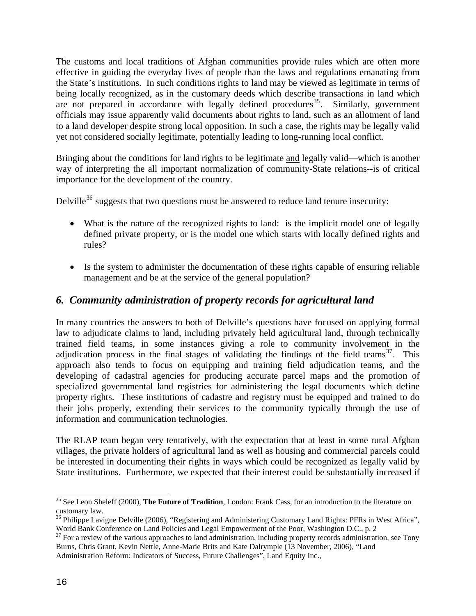<span id="page-15-0"></span>The customs and local traditions of Afghan communities provide rules which are often more effective in guiding the everyday lives of people than the laws and regulations emanating from the State's institutions. In such conditions rights to land may be viewed as legitimate in terms of being locally recognized, as in the customary deeds which describe transactions in land which are not prepared in accordance with legally defined procedures  $35$ . Similarly, government officials may issue apparently valid documents about rights to land, such as an allotment of land to a land developer despite strong local opposition. In such a case, the rights may be legally valid yet not considered socially legitimate, potentially leading to long-running local conflict.

Bringing about the conditions for land rights to be legitimate and legally valid—which is another way of interpreting the all important normalization of community-State relations--is of critical importance for the development of the country.

Delville<sup>[36](#page-15-0)</sup> suggests that two questions must be answered to reduce land tenure insecurity:

- What is the nature of the recognized rights to land: is the implicit model one of legally defined private property, or is the model one which starts with locally defined rights and rules?
- Is the system to administer the documentation of these rights capable of ensuring reliable management and be at the service of the general population?

### *6. Community administration of property records for agricultural land*

In many countries the answers to both of Delville's questions have focused on applying formal law to adjudicate claims to land, including privately held agricultural land, through technically trained field teams, in some instances giving a role to community involvement in the adjudication process in the final stages of validating the findings of the field teams<sup>[37](#page-15-0)</sup>. This approach also tends to focus on equipping and training field adjudication teams, and the developing of cadastral agencies for producing accurate parcel maps and the promotion of specialized governmental land registries for administering the legal documents which define property rights. These institutions of cadastre and registry must be equipped and trained to do their jobs properly, extending their services to the community typically through the use of information and communication technologies.

The RLAP team began very tentatively, with the expectation that at least in some rural Afghan villages, the private holders of agricultural land as well as housing and commercial parcels could be interested in documenting their rights in ways which could be recognized as legally valid by State institutions. Furthermore, we expected that their interest could be substantially increased if

<sup>&</sup>lt;u>.</u> 35 See Leon Sheleff (2000), **The Future of Tradition**, London: Frank Cass, for an introduction to the literature on customary law.

<sup>&</sup>lt;sup>36</sup> Philippe Lavigne Delville (2006), "Registering and Administering Customary Land Rights: PFRs in West Africa", World Bank Conference on Land Policies and Legal Empowerment of the Poor, Washington D.C., p. 2

<sup>&</sup>lt;sup>37</sup> For a review of the various approaches to land administration, including property records administration, see Tony Burns, Chris Grant, Kevin Nettle, Anne-Marie Brits and Kate Dalrymple (13 November, 2006), "Land Administration Reform: Indicators of Success, Future Challenges", Land Equity Inc.,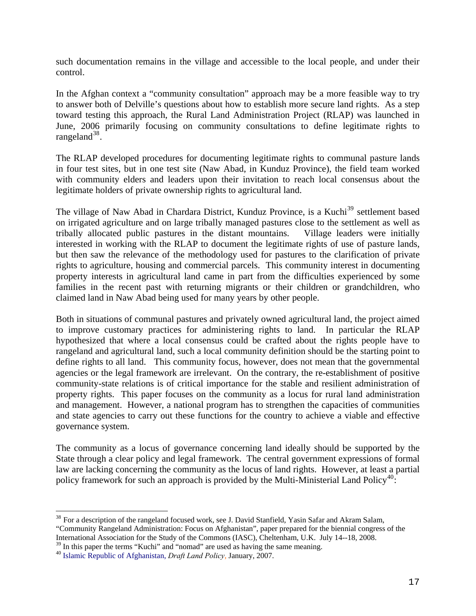<span id="page-16-0"></span>such documentation remains in the village and accessible to the local people, and under their control.

In the Afghan context a "community consultation" approach may be a more feasible way to try to answer both of Delville's questions about how to establish more secure land rights. As a step toward testing this approach, the Rural Land Administration Project (RLAP) was launched in June, 2006 primarily focusing on community consultations to define legitimate rights to rangeland $38$ .

The RLAP developed procedures for documenting legitimate rights to communal pasture lands in four test sites, but in one test site (Naw Abad, in Kunduz Province), the field team worked with community elders and leaders upon their invitation to reach local consensus about the legitimate holders of private ownership rights to agricultural land.

The village of Naw Abad in Chardara District, Kunduz Province, is a Kuchi<sup>[39](#page-16-0)</sup> settlement based on irrigated agriculture and on large tribally managed pastures close to the settlement as well as tribally allocated public pastures in the distant mountains. Village leaders were initially interested in working with the RLAP to document the legitimate rights of use of pasture lands, but then saw the relevance of the methodology used for pastures to the clarification of private rights to agriculture, housing and commercial parcels. This community interest in documenting property interests in agricultural land came in part from the difficulties experienced by some families in the recent past with returning migrants or their children or grandchildren, who claimed land in Naw Abad being used for many years by other people.

Both in situations of communal pastures and privately owned agricultural land, the project aimed to improve customary practices for administering rights to land. In particular the RLAP hypothesized that where a local consensus could be crafted about the rights people have to rangeland and agricultural land, such a local community definition should be the starting point to define rights to all land. This community focus, however, does not mean that the governmental agencies or the legal framework are irrelevant. On the contrary, the re-establishment of positive community-state relations is of critical importance for the stable and resilient administration of property rights. This paper focuses on the community as a locus for rural land administration and management. However, a national program has to strengthen the capacities of communities and state agencies to carry out these functions for the country to achieve a viable and effective governance system.

The community as a locus of governance concerning land ideally should be supported by the State through a clear policy and legal framework. The central government expressions of formal law are lacking concerning the community as the locus of land rights. However, at least a partial policy framework for such an approach is provided by the Multi-Ministerial Land Policy<sup>[40](#page-16-0)</sup>:

1

<sup>&</sup>lt;sup>38</sup> For a description of the rangeland focused work, see J. David Stanfield, Yasin Safar and Akram Salam, "Community Rangeland Administration: Focus on Afghanistan", paper prepared for the biennial congress of the International Association for the Study of the Commons (IASC), Cheltenham, U.K. July 14--18, 2008.

<sup>&</sup>lt;sup>39</sup> In this paper the terms "Kuchi" and "nomad" are used as having the same meaning.

<sup>40</sup> Islamic Republic of Afghanistan, *Draft Land Policy*, January, 2007.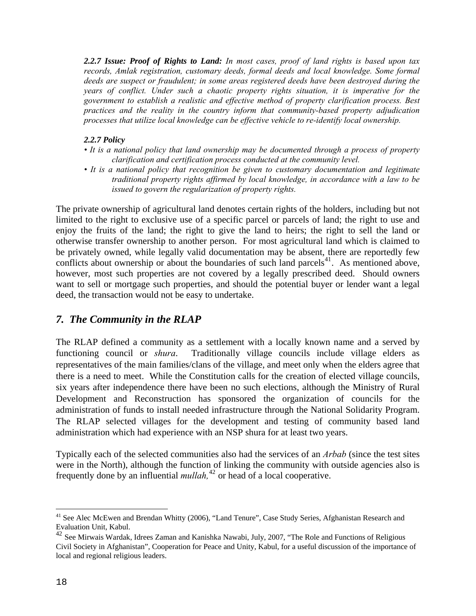<span id="page-17-0"></span>*2.2.7 Issue: Proof of Rights to Land: In most cases, proof of land rights is based upon tax records, Amlak registration, customary deeds, formal deeds and local knowledge. Some formal deeds are suspect or fraudulent; in some areas registered deeds have been destroyed during the years of conflict. Under such a chaotic property rights situation, it is imperative for the government to establish a realistic and effective method of property clarification process. Best practices and the reality in the country inform that community-based property adjudication processes that utilize local knowledge can be effective vehicle to re-identify local ownership.* 

#### *2.2.7 Policy*

- *It is a national policy that land ownership may be documented through a process of property clarification and certification process conducted at the community level.*
- It is a national policy that recognition be given to customary documentation and legitimate *traditional property rights affirmed by local knowledge, in accordance with a law to be issued to govern the regularization of property rights.*

The private ownership of agricultural land denotes certain rights of the holders, including but not limited to the right to exclusive use of a specific parcel or parcels of land; the right to use and enjoy the fruits of the land; the right to give the land to heirs; the right to sell the land or otherwise transfer ownership to another person. For most agricultural land which is claimed to be privately owned, while legally valid documentation may be absent, there are reportedly few conflicts about ownership or about the boundaries of such land parcels<sup>[41](#page-17-0)</sup>. As mentioned above, however, most such properties are not covered by a legally prescribed deed. Should owners want to sell or mortgage such properties, and should the potential buyer or lender want a legal deed, the transaction would not be easy to undertake.

### *7. The Community in the RLAP*

The RLAP defined a community as a settlement with a locally known name and a served by functioning council or *shura*. Traditionally village councils include village elders as representatives of the main families/clans of the village, and meet only when the elders agree that there is a need to meet. While the Constitution calls for the creation of elected village councils, six years after independence there have been no such elections, although the Ministry of Rural Development and Reconstruction has sponsored the organization of councils for the administration of funds to install needed infrastructure through the National Solidarity Program. The RLAP selected villages for the development and testing of community based land administration which had experience with an NSP shura for at least two years.

Typically each of the selected communities also had the services of an *Arbab* (since the test sites were in the North), although the function of linking the community with outside agencies also is frequently done by an influential *mullah,*[42](#page-17-0) or head of a local cooperative.

1

<sup>&</sup>lt;sup>41</sup> See Alec McEwen and Brendan Whitty (2006), "Land Tenure", Case Study Series, Afghanistan Research and Evaluation Unit, Kabul.

<sup>42</sup> See Mirwais Wardak, Idrees Zaman and Kanishka Nawabi, July, 2007, "The Role and Functions of Religious Civil Society in Afghanistan", Cooperation for Peace and Unity, Kabul, for a useful discussion of the importance of local and regional religious leaders.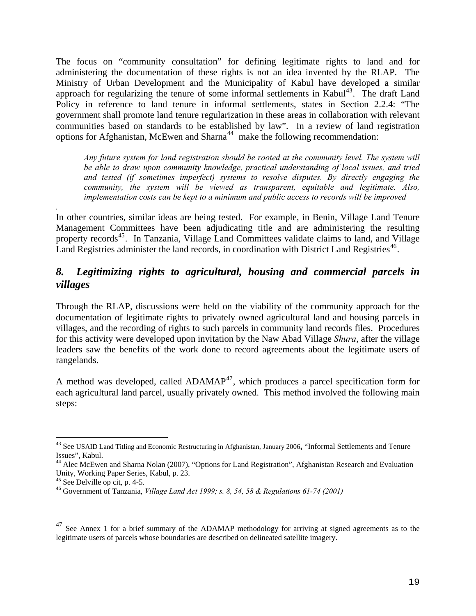<span id="page-18-0"></span>The focus on "community consultation" for defining legitimate rights to land and for administering the documentation of these rights is not an idea invented by the RLAP. The Ministry of Urban Development and the Municipality of Kabul have developed a similar approach for regularizing the tenure of some informal settlements in Kabul<sup>[43](#page-18-0)</sup>. The draft Land Policy in reference to land tenure in informal settlements, states in Section 2.2.4: "The government shall promote land tenure regularization in these areas in collaboration with relevant communities based on standards to be established by law". In a review of land registration options for Afghanistan, McEwen and Sharna<sup>[44](#page-18-0)</sup> make the following recommendation:

*Any future system for land registration should be rooted at the community level. The system will be able to draw upon community knowledge, practical understanding of local issues, and tried and tested (if sometimes imperfect) systems to resolve disputes. By directly engaging the community, the system will be viewed as transparent, equitable and legitimate. Also, implementation costs can be kept to a minimum and public access to records will be improved* 

In other countries, similar ideas are being tested. For example, in Benin, Village Land Tenure Management Committees have been adjudicating title and are administering the resulting property records<sup>[45](#page-18-0)</sup>. In Tanzania, Village Land Committees validate claims to land, and Village Land Registries administer the land records, in coordination with District Land Registries<sup>[46](#page-18-0)</sup>.

## *8. Legitimizing rights to agricultural, housing and commercial parcels in villages*

Through the RLAP, discussions were held on the viability of the community approach for the documentation of legitimate rights to privately owned agricultural land and housing parcels in villages, and the recording of rights to such parcels in community land records files. Procedures for this activity were developed upon invitation by the Naw Abad Village *Shura*, after the village leaders saw the benefits of the work done to record agreements about the legitimate users of rangelands.

A method was developed, called  $ADAMAP<sup>47</sup>$  $ADAMAP<sup>47</sup>$  $ADAMAP<sup>47</sup>$ , which produces a parcel specification form for each agricultural land parcel, usually privately owned. This method involved the following main steps:

*.* 

 $\overline{a}$ 

<sup>43</sup> See USAID Land Titling and Economic Restructuring in Afghanistan, January 2006**,** "Informal Settlements and Tenure Issues", Kabul.

<sup>&</sup>lt;sup>44</sup> Alec McEwen and Sharna Nolan (2007), "Options for Land Registration", Afghanistan Research and Evaluation Unity, Working Paper Series, Kabul, p. 23.

 $45$  See Delville op cit, p. 4-5.

<sup>46</sup> Government of Tanzania, *Village Land Act 1999; s. 8, 54, 58 & Regulations 61-74 (2001)* 

<sup>&</sup>lt;sup>47</sup> See Annex 1 for a brief summary of the ADAMAP methodology for arriving at signed agreements as to the legitimate users of parcels whose boundaries are described on delineated satellite imagery.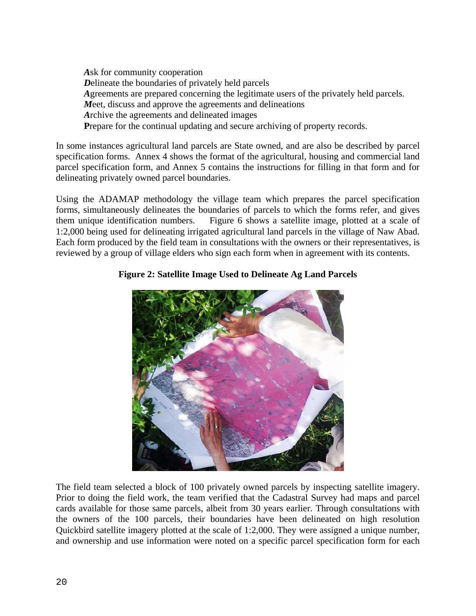*A*sk for community cooperation *D*elineate the boundaries of privately held parcels *A*greements are prepared concerning the legitimate users of the privately held parcels. *M*eet, discuss and approve the agreements and delineations *A*rchive the agreements and delineated images Prepare for the continual updating and secure archiving of property records.

In some instances agricultural land parcels are State owned, and are also be described by parcel specification forms. Annex 4 shows the format of the agricultural, housing and commercial land parcel specification form, and Annex 5 contains the instructions for filling in that form and for delineating privately owned parcel boundaries.

Using the ADAMAP methodology the village team which prepares the parcel specification forms, simultaneously delineates the boundaries of parcels to which the forms refer, and gives them unique identification numbers. Figure 6 shows a satellite image, plotted at a scale of 1:2,000 being used for delineating irrigated agricultural land parcels in the village of Naw Abad. Each form produced by the field team in consultations with the owners or their representatives, is reviewed by a group of village elders who sign each form when in agreement with its contents.

### **Figure 2: Satellite Image Used to Delineate Ag Land Parcels**



The field team selected a block of 100 privately owned parcels by inspecting satellite imagery. Prior to doing the field work, the team verified that the Cadastral Survey had maps and parcel cards available for those same parcels, albeit from 30 years earlier. Through consultations with the owners of the 100 parcels, their boundaries have been delineated on high resolution Quickbird satellite imagery plotted at the scale of 1:2,000. They were assigned a unique number, and ownership and use information were noted on a specific parcel specification form for each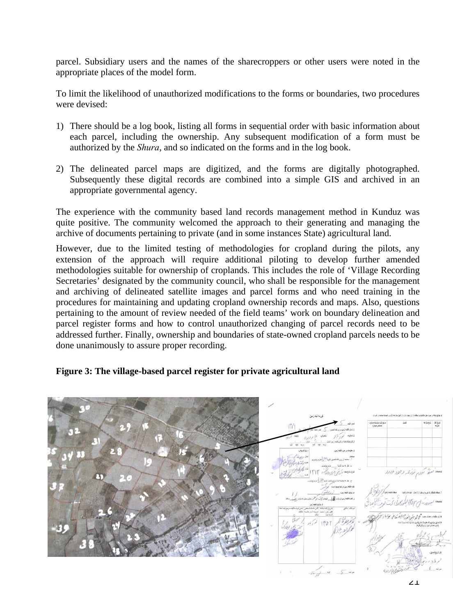parcel. Subsidiary users and the names of the sharecroppers or other users were noted in the appropriate places of the model form.

To limit the likelihood of unauthorized modifications to the forms or boundaries, two procedures were devised:

- 1) There should be a log book, listing all forms in sequential order with basic information about each parcel, including the ownership. Any subsequent modification of a form must be authorized by the *Shura*, and so indicated on the forms and in the log book.
- 2) The delineated parcel maps are digitized, and the forms are digitally photographed. Subsequently these digital records are combined into a simple GIS and archived in an appropriate governmental agency.

The experience with the community based land records management method in Kunduz was quite positive. The community welcomed the approach to their generating and managing the archive of documents pertaining to private (and in some instances State) agricultural land.

However, due to the limited testing of methodologies for cropland during the pilots, any extension of the approach will require additional piloting to develop further amended methodologies suitable for ownership of croplands. This includes the role of 'Village Recording Secretaries' designated by the community council, who shall be responsible for the management and archiving of delineated satellite images and parcel forms and who need training in the procedures for maintaining and updating cropland ownership records and maps. Also, questions pertaining to the amount of review needed of the field teams' work on boundary delineation and parcel register forms and how to control unauthorized changing of parcel records need to be addressed further. Finally, ownership and boundaries of state-owned cropland parcels needs to be done unanimously to assure proper recording.

### **Figure 3: The village-based parcel register for private agricultural land**

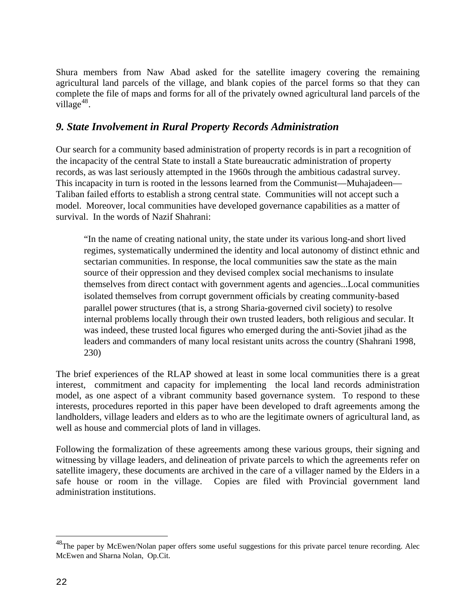<span id="page-21-0"></span>Shura members from Naw Abad asked for the satellite imagery covering the remaining agricultural land parcels of the village, and blank copies of the parcel forms so that they can complete the file of maps and forms for all of the privately owned agricultural land parcels of the village $48$ .

### *9. State Involvement in Rural Property Records Administration*

Our search for a community based administration of property records is in part a recognition of the incapacity of the central State to install a State bureaucratic administration of property records, as was last seriously attempted in the 1960s through the ambitious cadastral survey. This incapacity in turn is rooted in the lessons learned from the Communist—Muhajadeen— Taliban failed efforts to establish a strong central state. Communities will not accept such a model. Moreover, local communities have developed governance capabilities as a matter of survival. In the words of Nazif Shahrani:

"In the name of creating national unity, the state under its various long-and short lived regimes, systematically undermined the identity and local autonomy of distinct ethnic and sectarian communities. In response, the local communities saw the state as the main source of their oppression and they devised complex social mechanisms to insulate themselves from direct contact with government agents and agencies...Local communities isolated themselves from corrupt government officials by creating community-based parallel power structures (that is, a strong Sharia-governed civil society) to resolve internal problems locally through their own trusted leaders, both religious and secular. It was indeed, these trusted local figures who emerged during the anti-Soviet jihad as the leaders and commanders of many local resistant units across the country (Shahrani 1998, 230)

The brief experiences of the RLAP showed at least in some local communities there is a great interest, commitment and capacity for implementing the local land records administration model, as one aspect of a vibrant community based governance system. To respond to these interests, procedures reported in this paper have been developed to draft agreements among the landholders, village leaders and elders as to who are the legitimate owners of agricultural land, as well as house and commercial plots of land in villages.

Following the formalization of these agreements among these various groups, their signing and witnessing by village leaders, and delineation of private parcels to which the agreements refer on satellite imagery, these documents are archived in the care of a villager named by the Elders in a safe house or room in the village. Copies are filed with Provincial government land administration institutions.

 $\overline{a}$ 

 $^{48}$ The paper by McEwen/Nolan paper offers some useful suggestions for this private parcel tenure recording. Alec McEwen and Sharna Nolan, Op.Cit.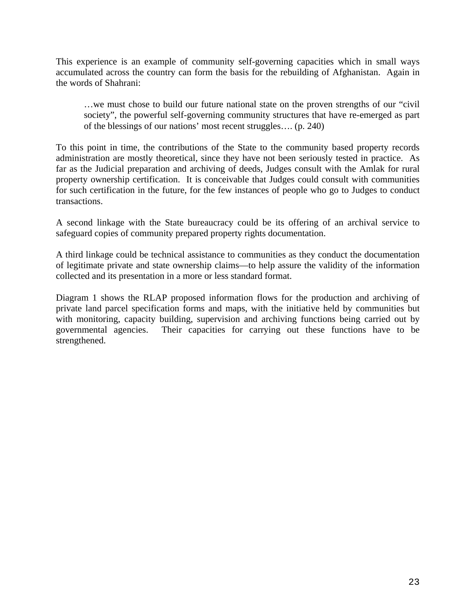This experience is an example of community self-governing capacities which in small ways accumulated across the country can form the basis for the rebuilding of Afghanistan. Again in the words of Shahrani:

…we must chose to build our future national state on the proven strengths of our "civil society", the powerful self-governing community structures that have re-emerged as part of the blessings of our nations' most recent struggles…. (p. 240)

To this point in time, the contributions of the State to the community based property records administration are mostly theoretical, since they have not been seriously tested in practice. As far as the Judicial preparation and archiving of deeds, Judges consult with the Amlak for rural property ownership certification. It is conceivable that Judges could consult with communities for such certification in the future, for the few instances of people who go to Judges to conduct transactions.

A second linkage with the State bureaucracy could be its offering of an archival service to safeguard copies of community prepared property rights documentation.

A third linkage could be technical assistance to communities as they conduct the documentation of legitimate private and state ownership claims—to help assure the validity of the information collected and its presentation in a more or less standard format.

Diagram 1 shows the RLAP proposed information flows for the production and archiving of private land parcel specification forms and maps, with the initiative held by communities but with monitoring, capacity building, supervision and archiving functions being carried out by governmental agencies. Their capacities for carrying out these functions have to be strengthened.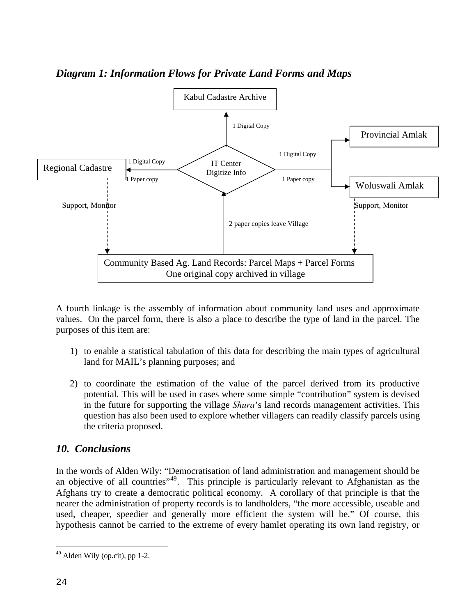<span id="page-23-0"></span>

## *Diagram 1: Information Flows for Private Land Forms and Maps*

A fourth linkage is the assembly of information about community land uses and approximate values. On the parcel form, there is also a place to describe the type of land in the parcel. The purposes of this item are:

- 1) to enable a statistical tabulation of this data for describing the main types of agricultural land for MAIL's planning purposes; and
- 2) to coordinate the estimation of the value of the parcel derived from its productive potential. This will be used in cases where some simple "contribution" system is devised in the future for supporting the village *Shura*'s land records management activities. This question has also been used to explore whether villagers can readily classify parcels using the criteria proposed.

### *10. Conclusions*

In the words of Alden Wily: "Democratisation of land administration and management should be an objective of all countries"<sup>[49](#page-23-0)</sup>. This principle is particularly relevant to Afghanistan as the Afghans try to create a democratic political economy. A corollary of that principle is that the nearer the administration of property records is to landholders, "the more accessible, useable and used, cheaper, speedier and generally more efficient the system will be." Of course, this hypothesis cannot be carried to the extreme of every hamlet operating its own land registry, or

<u>.</u>

 $49$  Alden Wily (op.cit), pp 1-2.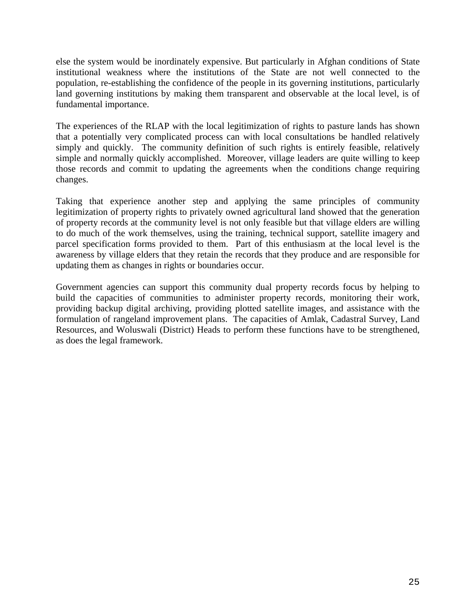else the system would be inordinately expensive. But particularly in Afghan conditions of State institutional weakness where the institutions of the State are not well connected to the population, re-establishing the confidence of the people in its governing institutions, particularly land governing institutions by making them transparent and observable at the local level, is of fundamental importance.

The experiences of the RLAP with the local legitimization of rights to pasture lands has shown that a potentially very complicated process can with local consultations be handled relatively simply and quickly. The community definition of such rights is entirely feasible, relatively simple and normally quickly accomplished. Moreover, village leaders are quite willing to keep those records and commit to updating the agreements when the conditions change requiring changes.

Taking that experience another step and applying the same principles of community legitimization of property rights to privately owned agricultural land showed that the generation of property records at the community level is not only feasible but that village elders are willing to do much of the work themselves, using the training, technical support, satellite imagery and parcel specification forms provided to them. Part of this enthusiasm at the local level is the awareness by village elders that they retain the records that they produce and are responsible for updating them as changes in rights or boundaries occur.

Government agencies can support this community dual property records focus by helping to build the capacities of communities to administer property records, monitoring their work, providing backup digital archiving, providing plotted satellite images, and assistance with the formulation of rangeland improvement plans. The capacities of Amlak, Cadastral Survey, Land Resources, and Woluswali (District) Heads to perform these functions have to be strengthened, as does the legal framework.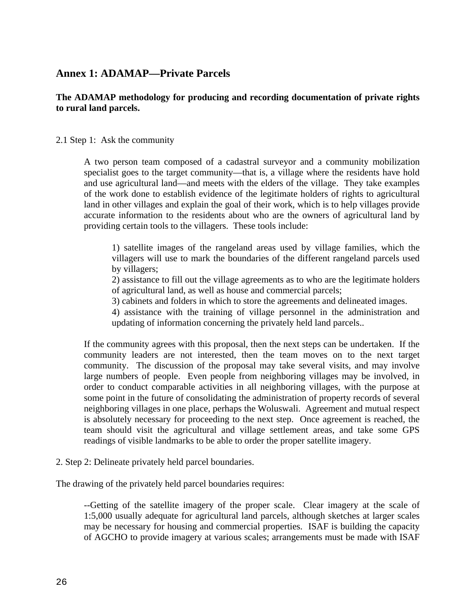### <span id="page-25-0"></span>**Annex 1: ADAMAP—Private Parcels**

### **The ADAMAP methodology for producing and recording documentation of private rights to rural land parcels.**

2.1 Step 1: Ask the community

A two person team composed of a cadastral surveyor and a community mobilization specialist goes to the target community—that is, a village where the residents have hold and use agricultural land—and meets with the elders of the village. They take examples of the work done to establish evidence of the legitimate holders of rights to agricultural land in other villages and explain the goal of their work, which is to help villages provide accurate information to the residents about who are the owners of agricultural land by providing certain tools to the villagers. These tools include:

1) satellite images of the rangeland areas used by village families, which the villagers will use to mark the boundaries of the different rangeland parcels used by villagers;

2) assistance to fill out the village agreements as to who are the legitimate holders of agricultural land, as well as house and commercial parcels;

3) cabinets and folders in which to store the agreements and delineated images.

4) assistance with the training of village personnel in the administration and updating of information concerning the privately held land parcels..

If the community agrees with this proposal, then the next steps can be undertaken. If the community leaders are not interested, then the team moves on to the next target community. The discussion of the proposal may take several visits, and may involve large numbers of people. Even people from neighboring villages may be involved, in order to conduct comparable activities in all neighboring villages, with the purpose at some point in the future of consolidating the administration of property records of several neighboring villages in one place, perhaps the Woluswali. Agreement and mutual respect is absolutely necessary for proceeding to the next step. Once agreement is reached, the team should visit the agricultural and village settlement areas, and take some GPS readings of visible landmarks to be able to order the proper satellite imagery.

2. Step 2: Delineate privately held parcel boundaries.

The drawing of the privately held parcel boundaries requires:

--Getting of the satellite imagery of the proper scale. Clear imagery at the scale of 1:5,000 usually adequate for agricultural land parcels, although sketches at larger scales may be necessary for housing and commercial properties. ISAF is building the capacity of AGCHO to provide imagery at various scales; arrangements must be made with ISAF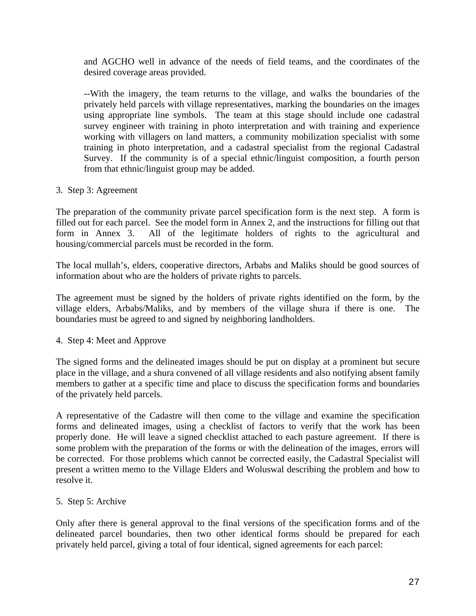and AGCHO well in advance of the needs of field teams, and the coordinates of the desired coverage areas provided.

--With the imagery, the team returns to the village, and walks the boundaries of the privately held parcels with village representatives, marking the boundaries on the images using appropriate line symbols. The team at this stage should include one cadastral survey engineer with training in photo interpretation and with training and experience working with villagers on land matters, a community mobilization specialist with some training in photo interpretation, and a cadastral specialist from the regional Cadastral Survey. If the community is of a special ethnic/linguist composition, a fourth person from that ethnic/linguist group may be added.

#### 3. Step 3: Agreement

The preparation of the community private parcel specification form is the next step. A form is filled out for each parcel. See the model form in Annex 2, and the instructions for filling out that form in Annex 3. All of the legitimate holders of rights to the agricultural and housing/commercial parcels must be recorded in the form.

The local mullah's, elders, cooperative directors, Arbabs and Maliks should be good sources of information about who are the holders of private rights to parcels.

The agreement must be signed by the holders of private rights identified on the form, by the village elders, Arbabs/Maliks, and by members of the village shura if there is one. The boundaries must be agreed to and signed by neighboring landholders.

#### 4. Step 4: Meet and Approve

The signed forms and the delineated images should be put on display at a prominent but secure place in the village, and a shura convened of all village residents and also notifying absent family members to gather at a specific time and place to discuss the specification forms and boundaries of the privately held parcels.

A representative of the Cadastre will then come to the village and examine the specification forms and delineated images, using a checklist of factors to verify that the work has been properly done. He will leave a signed checklist attached to each pasture agreement. If there is some problem with the preparation of the forms or with the delineation of the images, errors will be corrected. For those problems which cannot be corrected easily, the Cadastral Specialist will present a written memo to the Village Elders and Woluswal describing the problem and how to resolve it.

#### 5. Step 5: Archive

Only after there is general approval to the final versions of the specification forms and of the delineated parcel boundaries, then two other identical forms should be prepared for each privately held parcel, giving a total of four identical, signed agreements for each parcel: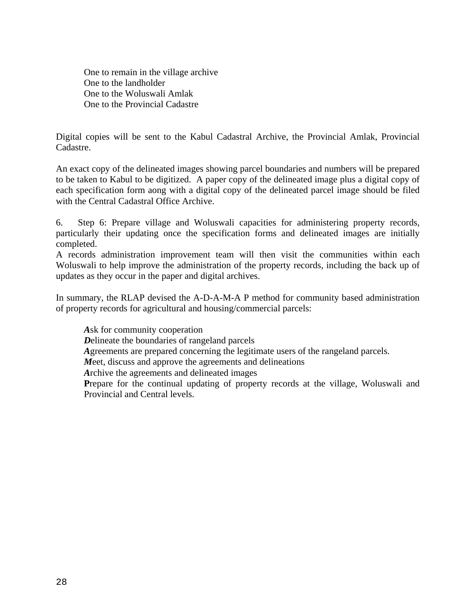One to remain in the village archive One to the landholder One to the Woluswali Amlak One to the Provincial Cadastre

Digital copies will be sent to the Kabul Cadastral Archive, the Provincial Amlak, Provincial Cadastre.

An exact copy of the delineated images showing parcel boundaries and numbers will be prepared to be taken to Kabul to be digitized. A paper copy of the delineated image plus a digital copy of each specification form aong with a digital copy of the delineated parcel image should be filed with the Central Cadastral Office Archive.

6. Step 6: Prepare village and Woluswali capacities for administering property records, particularly their updating once the specification forms and delineated images are initially completed.

A records administration improvement team will then visit the communities within each Woluswali to help improve the administration of the property records, including the back up of updates as they occur in the paper and digital archives.

In summary, the RLAP devised the A-D-A-M-A P method for community based administration of property records for agricultural and housing/commercial parcels:

*A*sk for community cooperation *D*elineate the boundaries of rangeland parcels *A*greements are prepared concerning the legitimate users of the rangeland parcels. *M*eet, discuss and approve the agreements and delineations *A*rchive the agreements and delineated images Prepare for the continual updating of property records at the village, Woluswali and Provincial and Central levels.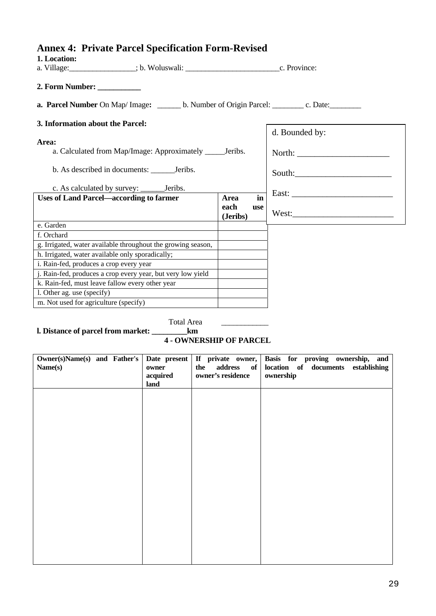# <span id="page-28-0"></span>**Annex 4: Private Parcel Specification Form-Revised**

| 1. Location:                                                                                           |                         |                |
|--------------------------------------------------------------------------------------------------------|-------------------------|----------------|
| 2. Form Number:                                                                                        |                         |                |
| <b>a. Parcel Number On Map/Image:</b> _______ b. Number of Origin Parcel: _________ c. Date: _________ |                         |                |
| 3. Information about the Parcel:                                                                       |                         |                |
|                                                                                                        |                         | d. Bounded by: |
| Area:                                                                                                  |                         |                |
| a. Calculated from Map/Image: Approximately _______ Jeribs.                                            |                         |                |
|                                                                                                        |                         |                |
|                                                                                                        |                         |                |
| <b>Uses of Land Parcel—according to farmer</b>                                                         | in<br><b>Area</b>       |                |
|                                                                                                        | each<br>use<br>(Jeribs) |                |
| e. Garden                                                                                              |                         |                |
| f. Orchard                                                                                             |                         |                |
| g. Irrigated, water available throughout the growing season,                                           |                         |                |
| h. Irrigated, water available only sporadically;                                                       |                         |                |
| i. Rain-fed, produces a crop every year                                                                |                         |                |
| j. Rain-fed, produces a crop every year, but very low yield                                            |                         |                |
| k. Rain-fed, must leave fallow every other year                                                        |                         |                |
| l. Other ag. use (specify)                                                                             |                         |                |
| m. Not used for agriculture (specify)                                                                  |                         |                |

Total Area \_\_\_\_\_\_\_\_\_\_\_\_

**l. Distance of parcel from market: \_\_\_\_\_\_\_\_\_km** 

 **4 - OWNERSHIP OF PARCEL** 

| $Owner(s)Name(s)$ and Father's<br>Name(s) | Date present<br>owner<br>acquired<br>land | the address of<br>owner's residence | If private owner, Basis for proving ownership, and<br>location of documents establishing<br>ownership |
|-------------------------------------------|-------------------------------------------|-------------------------------------|-------------------------------------------------------------------------------------------------------|
|                                           |                                           |                                     |                                                                                                       |
|                                           |                                           |                                     |                                                                                                       |
|                                           |                                           |                                     |                                                                                                       |
|                                           |                                           |                                     |                                                                                                       |
|                                           |                                           |                                     |                                                                                                       |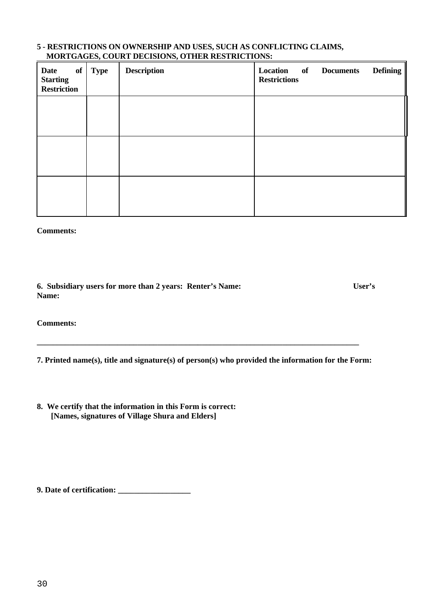#### **5 - RESTRICTIONS ON OWNERSHIP AND USES, SUCH AS CONFLICTING CLAIMS, MORTGAGES, COURT DECISIONS, OTHER RESTRICTIONS:**

| Date<br>of<br><b>Starting</b><br><b>Restriction</b> | <b>Type</b> | <b>Description</b> | Location of Documents<br><b>Restrictions</b> | <b>Defining</b> |
|-----------------------------------------------------|-------------|--------------------|----------------------------------------------|-----------------|
|                                                     |             |                    |                                              |                 |
|                                                     |             |                    |                                              |                 |
|                                                     |             |                    |                                              |                 |

**Comments:** 

**6. Subsidiary users for more than 2 years: Renter's Name: User's Name:** 

**Comments:** 

**7. Printed name(s), title and signature(s) of person(s) who provided the information for the Form:** 

**\_\_\_\_\_\_\_\_\_\_\_\_\_\_\_\_\_\_\_\_\_\_\_\_\_\_\_\_\_\_\_\_\_\_\_\_\_\_\_\_\_\_\_\_\_\_\_\_\_\_\_\_\_\_\_\_\_\_\_\_\_\_\_\_\_\_\_\_\_\_\_\_\_\_\_\_\_\_\_\_** 

**8. We certify that the information in this Form is correct: [Names, signatures of Village Shura and Elders]** 

**9. Date of certification: \_\_\_\_\_\_\_\_\_\_\_\_\_\_\_\_\_\_**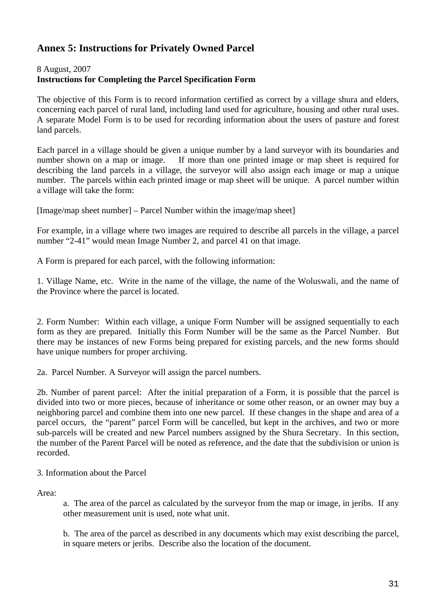## <span id="page-30-0"></span>**Annex 5: Instructions for Privately Owned Parcel**

8 August, 2007

### **Instructions for Completing the Parcel Specification Form**

The objective of this Form is to record information certified as correct by a village shura and elders, concerning each parcel of rural land, including land used for agriculture, housing and other rural uses. A separate Model Form is to be used for recording information about the users of pasture and forest land parcels.

Each parcel in a village should be given a unique number by a land surveyor with its boundaries and number shown on a map or image. If more than one printed image or map sheet is required for describing the land parcels in a village, the surveyor will also assign each image or map a unique number. The parcels within each printed image or map sheet will be unique. A parcel number within a village will take the form:

[Image/map sheet number] – Parcel Number within the image/map sheet]

For example, in a village where two images are required to describe all parcels in the village, a parcel number "2-41" would mean Image Number 2, and parcel 41 on that image.

A Form is prepared for each parcel, with the following information:

1. Village Name, etc. Write in the name of the village, the name of the Woluswali, and the name of the Province where the parcel is located.

2. Form Number: Within each village, a unique Form Number will be assigned sequentially to each form as they are prepared. Initially this Form Number will be the same as the Parcel Number. But there may be instances of new Forms being prepared for existing parcels, and the new forms should have unique numbers for proper archiving.

2a. Parcel Number. A Surveyor will assign the parcel numbers.

2b. Number of parent parcel: After the initial preparation of a Form, it is possible that the parcel is divided into two or more pieces, because of inheritance or some other reason, or an owner may buy a neighboring parcel and combine them into one new parcel. If these changes in the shape and area of a parcel occurs, the "parent" parcel Form will be cancelled, but kept in the archives, and two or more sub-parcels will be created and new Parcel numbers assigned by the Shura Secretary. In this section, the number of the Parent Parcel will be noted as reference, and the date that the subdivision or union is recorded.

### 3. Information about the Parcel

Area:

a. The area of the parcel as calculated by the surveyor from the map or image, in jeribs. If any other measurement unit is used, note what unit.

b. The area of the parcel as described in any documents which may exist describing the parcel, in square meters or jeribs. Describe also the location of the document.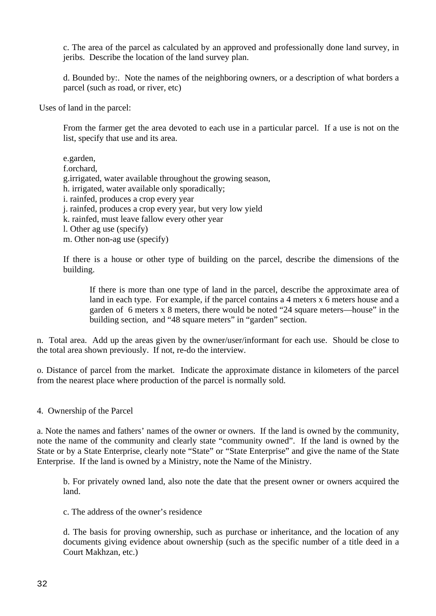c. The area of the parcel as calculated by an approved and professionally done land survey, in jeribs. Describe the location of the land survey plan.

d. Bounded by:. Note the names of the neighboring owners, or a description of what borders a parcel (such as road, or river, etc)

Uses of land in the parcel:

From the farmer get the area devoted to each use in a particular parcel. If a use is not on the list, specify that use and its area.

e.garden, f.orchard, g.irrigated, water available throughout the growing season, h. irrigated, water available only sporadically; i. rainfed, produces a crop every year j. rainfed, produces a crop every year, but very low yield k. rainfed, must leave fallow every other year l. Other ag use (specify)

m. Other non-ag use (specify)

If there is a house or other type of building on the parcel, describe the dimensions of the building.

If there is more than one type of land in the parcel, describe the approximate area of land in each type. For example, if the parcel contains a 4 meters x 6 meters house and a garden of 6 meters x 8 meters, there would be noted "24 square meters—house" in the building section, and "48 square meters" in "garden" section.

n. Total area. Add up the areas given by the owner/user/informant for each use. Should be close to the total area shown previously. If not, re-do the interview.

o. Distance of parcel from the market. Indicate the approximate distance in kilometers of the parcel from the nearest place where production of the parcel is normally sold.

4. Ownership of the Parcel

a. Note the names and fathers' names of the owner or owners. If the land is owned by the community, note the name of the community and clearly state "community owned". If the land is owned by the State or by a State Enterprise, clearly note "State" or "State Enterprise" and give the name of the State Enterprise. If the land is owned by a Ministry, note the Name of the Ministry.

b. For privately owned land, also note the date that the present owner or owners acquired the land.

c. The address of the owner's residence

d. The basis for proving ownership, such as purchase or inheritance, and the location of any documents giving evidence about ownership (such as the specific number of a title deed in a Court Makhzan, etc.)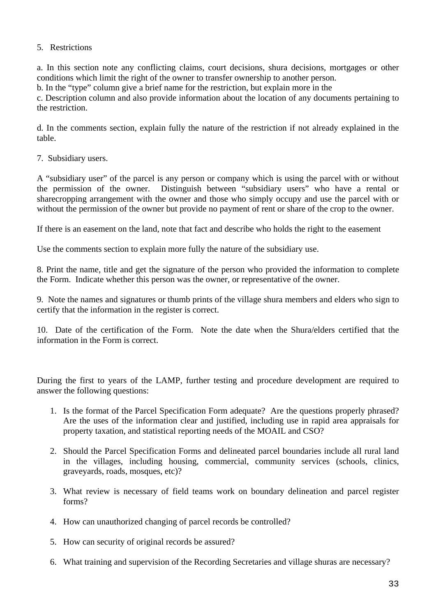### 5. Restrictions

a. In this section note any conflicting claims, court decisions, shura decisions, mortgages or other conditions which limit the right of the owner to transfer ownership to another person.

b. In the "type" column give a brief name for the restriction, but explain more in the

c. Description column and also provide information about the location of any documents pertaining to the restriction.

d. In the comments section, explain fully the nature of the restriction if not already explained in the table.

7. Subsidiary users.

A "subsidiary user" of the parcel is any person or company which is using the parcel with or without the permission of the owner. Distinguish between "subsidiary users" who have a rental or sharecropping arrangement with the owner and those who simply occupy and use the parcel with or without the permission of the owner but provide no payment of rent or share of the crop to the owner.

If there is an easement on the land, note that fact and describe who holds the right to the easement

Use the comments section to explain more fully the nature of the subsidiary use.

8. Print the name, title and get the signature of the person who provided the information to complete the Form. Indicate whether this person was the owner, or representative of the owner.

9. Note the names and signatures or thumb prints of the village shura members and elders who sign to certify that the information in the register is correct.

10. Date of the certification of the Form. Note the date when the Shura/elders certified that the information in the Form is correct.

During the first to years of the LAMP, further testing and procedure development are required to answer the following questions:

- 1. Is the format of the Parcel Specification Form adequate? Are the questions properly phrased? Are the uses of the information clear and justified, including use in rapid area appraisals for property taxation, and statistical reporting needs of the MOAIL and CSO?
- 2. Should the Parcel Specification Forms and delineated parcel boundaries include all rural land in the villages, including housing, commercial, community services (schools, clinics, graveyards, roads, mosques, etc)?
- 3. What review is necessary of field teams work on boundary delineation and parcel register forms?
- 4. How can unauthorized changing of parcel records be controlled?
- 5. How can security of original records be assured?
- 6. What training and supervision of the Recording Secretaries and village shuras are necessary?